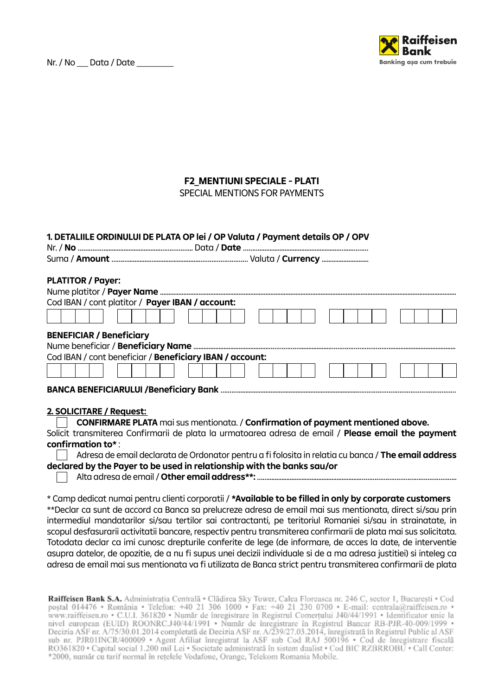Nr. / No \_\_\_ Data / Date



## **F2\_MENTIUNI SPECIALE - PLATI**

SPECIAL MENTIONS FOR PAYMENTS

## **1. DETALIILE ORDINULUI DE PLATA OP lei / OP Valuta / Payment details OP / OPV**

## **PLATITOR / Payer:**

| Cod IBAN / cont platitor / Payer IBAN / account:         |  |  |
|----------------------------------------------------------|--|--|
|                                                          |  |  |
| <b>BENEFICIAR / Beneficiary</b>                          |  |  |
|                                                          |  |  |
| Cod IBAN / cont beneficiar / Beneficiary IBAN / account: |  |  |
|                                                          |  |  |
|                                                          |  |  |
|                                                          |  |  |

## **2. SOLICITARE / Request:**

| <b>CONFIRMARE PLATA</b> mai sus mentionata. / Confirmation of payment mentioned above.                    |
|-----------------------------------------------------------------------------------------------------------|
| Solicit transmiterea Confirmarii de plata la urmatoarea adresa de email / <b>Please email the payment</b> |
| confirmation to* :                                                                                        |
| Adresa de email declarata de Ordonator pentru a fi folosita in relatia cu banca / The email address       |

| declared by the Payer to be used in relationship with the banks sau/or |  |
|------------------------------------------------------------------------|--|

Alta adresa de email / **Other email address\*\*:** …….......................................................……………………………………………..  $\mathbf{I}$ 

\* Camp dedicat numai pentru clienti corporatii / **\*Available to be filled in only by corporate customers**

\*\*Declar ca sunt de accord ca Banca sa prelucreze adresa de email mai sus mentionata, direct si/sau prin intermediul mandatarilor si/sau tertilor sai contractanti, pe teritoriul Romaniei si/sau in strainatate, in scopul desfasurarii activitatii bancare, respectiv pentru transmiterea confirmarii de plata mai sus solicitata. Totodata declar ca imi cunosc drepturile conferite de lege (de informare, de acces la date, de interventie asupra datelor, de opozitie, de a nu fi supus unei decizii individuale si de a ma adresa justitiei) si inteleg ca adresa de email mai sus mentionata va fi utilizata de Banca strict pentru transmiterea confirmarii de plata

Raiffeisen Bank S.A. Administrația Centrală • Clădirea Sky Tower, Calea Floreasca nr. 246 C, sector 1, București • Cod poștal 014476 • România • Telefon: +40 21 306 1000 • Fax: +40 21 230 0700 • E-mail: centrala@raiffeisen nivel european (EUID) ROONRC.J40/44/1991 · Număr de înregistrare în Registrul Bancar RB-PJR-40-009/1999 · Decizia ASF nr. A/75/30.01.2014 completată de Decizia ASF nr. A/239/27.03.2014, înregistrată în Registrul Public al ASF<br>sub nr. PJR01INCR/400009 • Agent Afiliat înregistrat la ASF sub Cod RAJ 500196 • Cod de înregistrare f RO361820 · Capital social 1.200 mil Lei · Societate administrată în sistem dualist · Cod BIC RZBRROBU · Call Center: \*2000, număr cu tarif normal în rețelele Vodafone, Orange, Telekom Romania Mobile.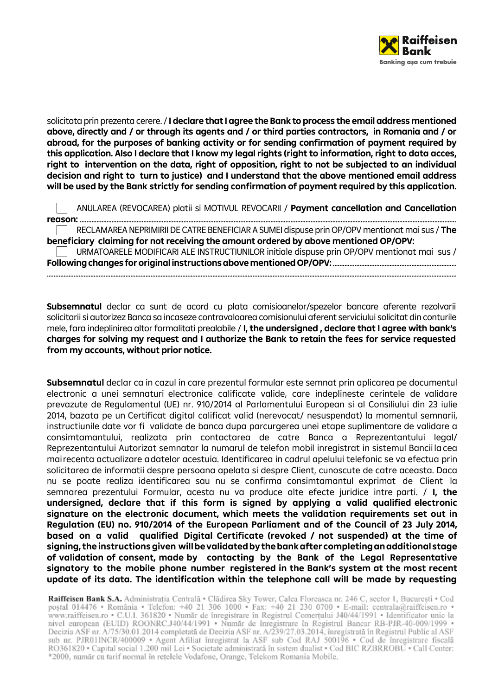

solicitata prin prezenta cerere. / **I declare that I agree the Bank to process the email address mentioned above, directly and / or through its agents and / or third parties contractors, in Romania and / or abroad, for the purposes of banking activity or for sending confirmation of payment required by this application. Also I declare that I know my legal rights (right to information, right to data acces, right to intervention on the data, right of opposition, right to not be subjected to an individual decision and right to turn to justice) and I understand that the above mentioned email address will be used by the Bank strictly for sending confirmation of payment required by this application.**

|  | ANULAREA (REVOCAREA) platii si MOTIVUL REVOCARII / Payment cancellation and Cancellation      |
|--|-----------------------------------------------------------------------------------------------|
|  |                                                                                               |
|  | RECLAMAREA NEPRIMIRII DE CATRE BENEFICIAR A SUMEI dispuse prin OP/OPV mentionat mai sus / The |

**beneficiary claiming for not receiving the amount ordered by above mentioned OP/OPV:** URMATOARELE MODIFICARI ALE INSTRUCTIUNILOR initiale dispuse prin OP/OPV mentionat mai sus /

**Following changes for original instructions above mentioned OP/OPV:** .......................................................................... .....................................................................................................................................................................................................................................................

**Subsemnatul** declar ca sunt de acord cu plata comisioanelor/spezelor bancare aferente rezolvarii solicitarii si autorizez Banca sa incaseze contravaloarea comisionului aferent serviciului solicitat din conturile mele, fara indeplinirea altor formalitati prealabile / **I, the undersigned , declare that I agree with bank's charges for solving my request and I authorize the Bank to retain the fees for service requested from my accounts, without prior notice.**

**Subsemnatul** declar ca in cazul in care prezentul formular este semnat prin aplicarea pe documentul electronic a unei semnaturi electronice calificate valide, care indeplineste cerintele de validare prevazute de Regulamentul (UE) nr. 910/2014 al Parlamentului European si al Consiliului din 23 iulie 2014, bazata pe un Certificat digital calificat valid (nerevocat/ nesuspendat) la momentul semnarii, instructiunile date vor fi validate de banca dupa parcurgerea unei etape suplimentare de validare a consimtamantului, realizata prin contactarea de catre Banca a Reprezentantului legal/ Reprezentantului Autorizat semnatar la numarul de telefon mobil inregistrat in sistemul Bancii la cea mai recenta actualizare a datelor acestuia. Identificarea in cadrul apelului telefonic se va efectua prin solicitarea de informatii despre persoana apelata si despre Client, cunoscute de catre aceasta. Daca nu se poate realiza identificarea sau nu se confirma consimtamantul exprimat de Client la semnarea prezentului Formular, acesta nu va produce alte efecte juridice intre parti. / **I, the undersigned, declare that if this form is signed by applying a valid qualified electronic signature on the electronic document, which meets the validation requirements set out in Regulation (EU) no. 910/2014 of the European Parliament and of the Council of 23 July 2014, based on a valid qualified Digital Certificate (revoked / not suspended) at the time of signing, the instructions given will be validated by the bank after completing an additional stage of validation of consent, made by contacting by the Bank of the Legal Representative signatory to the mobile phone number registered in the Bank's system at the most recent update of its data. The identification within the telephone call will be made by requesting** 

Raiffeisen Bank S.A. Administratia Centrală • Clădirea Sky Tower, Calea Floreasca nr. 246 C, sector 1, București • Cod poștal 014476 • România • Telefon: +40 21 306 1000 • Fax: +40 21 230 0700 • E-mail: centrala@raiffeisen nivel european (EUID) ROONRC.J40/44/1991 · Număr de înregistrare în Registrul Bancar RB-PJR-40-009/1999 · Decizia ASF nr. A/75/30.01.2014 completată de Decizia ASF nr. A/239/27.03.2014, înregistrată în Registrul Public al ASF<br>sub nr. PJR01INCR/400009 • Agent Afiliat înregistrat la ASF sub Cod RAJ 500196 • Cod de înregistrare f RO361820 · Capital social 1.200 mil Lei · Societate administrată în sistem dualist · Cod BIC RZBRROBU · Call Center: \*2000, număr cu tarif normal în rețelele Vodafone, Orange, Telekom Romania Mobile.